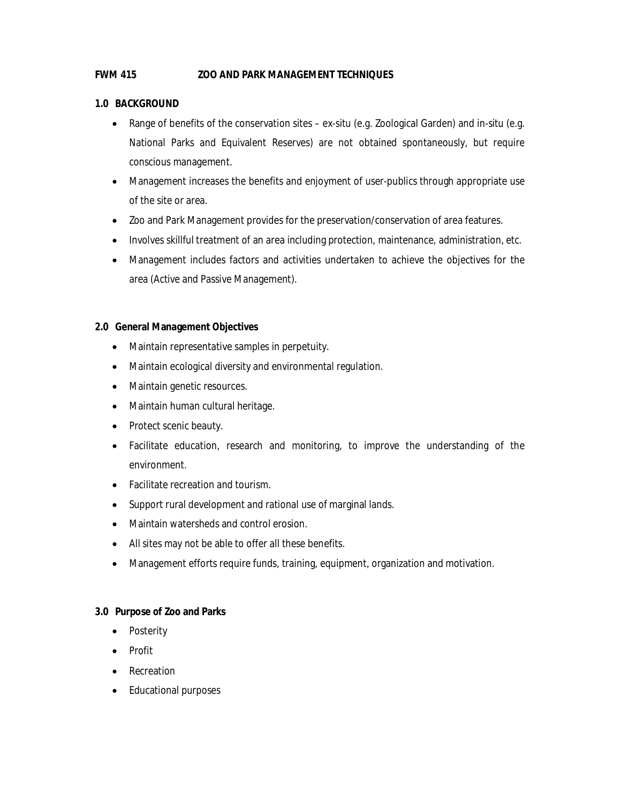## **FWM 415 ZOO AND PARK MANAGEMENT TECHNIQUES**

## **1.0 BACKGROUND**

- Range of benefits of the conservation sites ex-situ (e.g. Zoological Garden) and in-situ (e.g. National Parks and Equivalent Reserves) are not obtained spontaneously, but require conscious management.
- Management increases the benefits and enjoyment of user-publics through appropriate use of the site or area.
- Zoo and Park Management provides for the preservation/conservation of area features.
- Involves skillful treatment of an area including protection, maintenance, administration, etc.
- Management includes factors and activities undertaken to achieve the objectives for the area (Active and Passive Management).

## **2.0 General Management Objectives**

- Maintain representative samples in perpetuity.
- Maintain ecological diversity and environmental regulation.
- Maintain genetic resources.
- Maintain human cultural heritage.
- Protect scenic beauty.
- Facilitate education, research and monitoring, to improve the understanding of the environment.
- Facilitate recreation and tourism.
- Support rural development and rational use of marginal lands.
- Maintain watersheds and control erosion.
- All sites may not be able to offer all these benefits.
- Management efforts require funds, training, equipment, organization and motivation.

## **3.0 Purpose of Zoo and Parks**

- Posterity
- Profit
- Recreation
- Educational purposes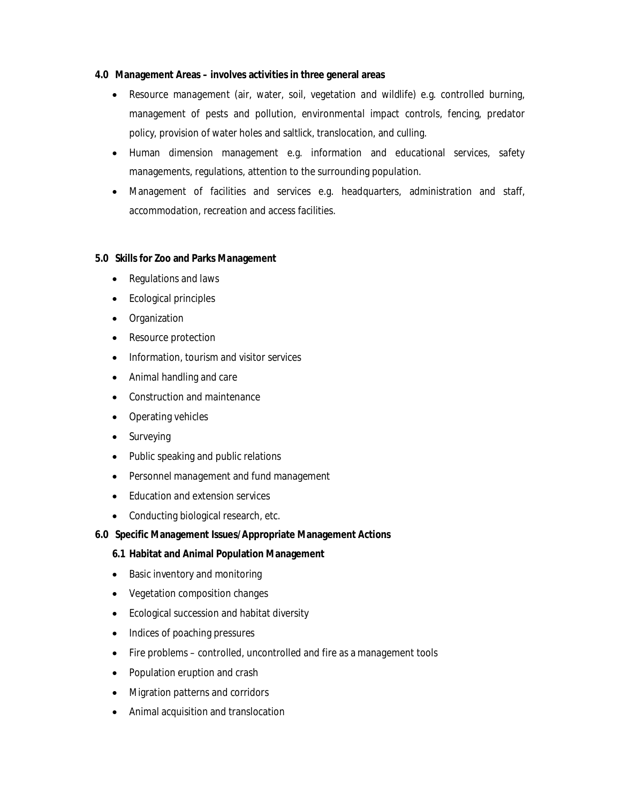#### **4.0 Management Areas – involves activities in three general areas**

- Resource management (air, water, soil, vegetation and wildlife) e.g. controlled burning, management of pests and pollution, environmental impact controls, fencing, predator policy, provision of water holes and saltlick, translocation, and culling.
- Human dimension management e.g. information and educational services, safety managements, regulations, attention to the surrounding population.
- Management of facilities and services e.g. headquarters, administration and staff, accommodation, recreation and access facilities.

## **5.0 Skills for Zoo and Parks Management**

- Regulations and laws
- Ecological principles
- Organization
- Resource protection
- Information, tourism and visitor services
- Animal handling and care
- Construction and maintenance
- Operating vehicles
- Surveying
- Public speaking and public relations
- Personnel management and fund management
- Education and extension services
- Conducting biological research, etc.

## **6.0 Specific Management Issues/Appropriate Management Actions**

## **6.1 Habitat and Animal Population Management**

- Basic inventory and monitoring
- Vegetation composition changes
- Ecological succession and habitat diversity
- Indices of poaching pressures
- Fire problems controlled, uncontrolled and fire as a management tools
- Population eruption and crash
- Migration patterns and corridors
- Animal acquisition and translocation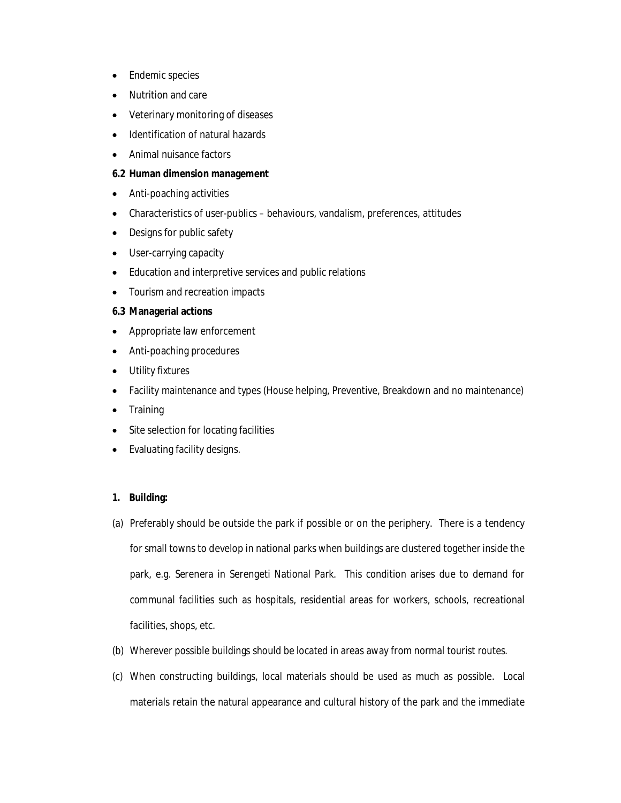- Endemic species
- Nutrition and care
- Veterinary monitoring of diseases
- Identification of natural hazards
- Animal nuisance factors

#### **6.2 Human dimension management**

- Anti-poaching activities
- Characteristics of user-publics behaviours, vandalism, preferences, attitudes
- Designs for public safety
- User-carrying capacity
- Education and interpretive services and public relations
- Tourism and recreation impacts

#### **6.3 Managerial actions**

- Appropriate law enforcement
- Anti-poaching procedures
- Utility fixtures
- Facility maintenance and types (House helping, Preventive, Breakdown and no maintenance)
- Training
- Site selection for locating facilities
- Evaluating facility designs.

#### **1. Building:**

- (a) Preferably should be outside the park if possible or on the periphery. There is a tendency for small towns to develop in national parks when buildings are clustered together inside the park, e.g. Serenera in Serengeti National Park. This condition arises due to demand for communal facilities such as hospitals, residential areas for workers, schools, recreational facilities, shops, etc.
- (b) Wherever possible buildings should be located in areas away from normal tourist routes.
- (c) When constructing buildings, local materials should be used as much as possible. Local materials retain the natural appearance and cultural history of the park and the immediate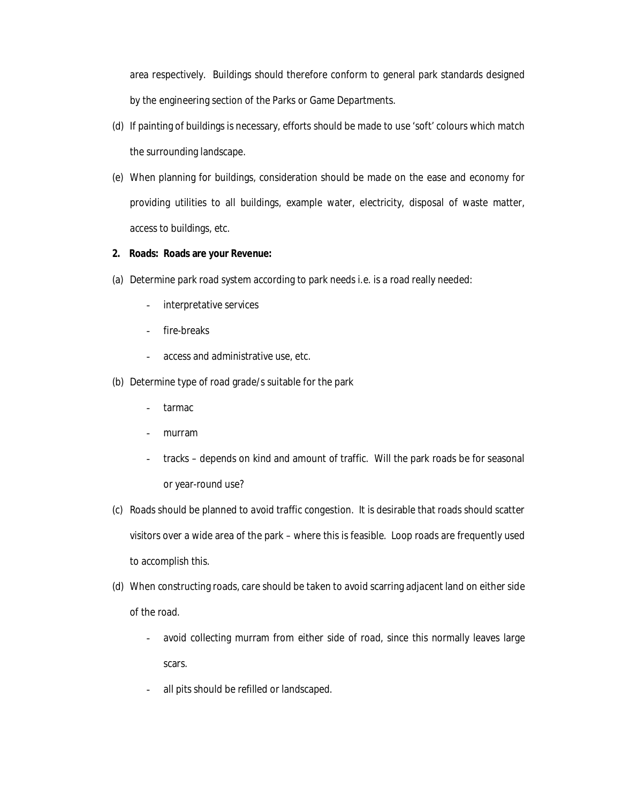area respectively. Buildings should therefore conform to general park standards designed by the engineering section of the Parks or Game Departments.

- (d) If painting of buildings is necessary, efforts should be made to use 'soft' colours which match the surrounding landscape.
- (e) When planning for buildings, consideration should be made on the ease and economy for providing utilities to all buildings, example water, electricity, disposal of waste matter, access to buildings, etc.

## **2. Roads: Roads are your Revenue:**

- (a) Determine park road system according to park needs i.e. is a road really needed:
	- interpretative services
	- fire-breaks
	- access and administrative use, etc.
- (b) Determine type of road grade/s suitable for the park
	- tarmac
	- murram
	- tracks depends on kind and amount of traffic. Will the park roads be for seasonal or year-round use?
- (c) Roads should be planned to avoid traffic congestion. It is desirable that roads should scatter visitors over a wide area of the park – where this is feasible. Loop roads are frequently used to accomplish this.
- (d) When constructing roads, care should be taken to avoid scarring adjacent land on either side of the road.
	- avoid collecting murram from either side of road, since this normally leaves large scars.
	- all pits should be refilled or landscaped.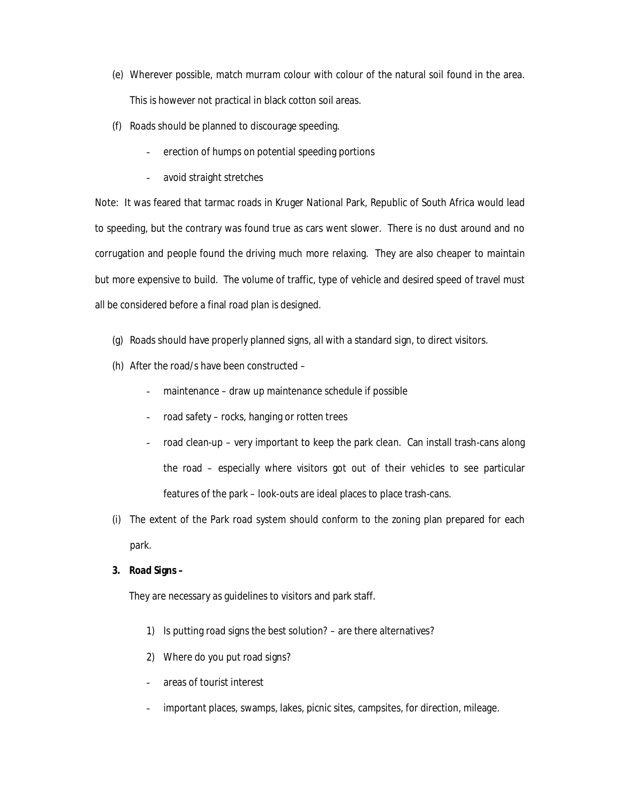- (e) Wherever possible, match murram colour with colour of the natural soil found in the area. This is however not practical in black cotton soil areas.
- (f) Roads should be planned to discourage speeding.
	- erection of humps on potential speeding portions
	- avoid straight stretches

Note: It was feared that tarmac roads in Kruger National Park, Republic of South Africa would lead to speeding, but the contrary was found true as cars went slower. There is no dust around and no corrugation and people found the driving much more relaxing. They are also cheaper to maintain but more expensive to build. The volume of traffic, type of vehicle and desired speed of travel must all be considered before a final road plan is designed.

- (g) Roads should have properly planned signs, all with a standard sign, to direct visitors.
- (h) After the road/s have been constructed
	- maintenance draw up maintenance schedule if possible
	- road safety rocks, hanging or rotten trees
	- road clean-up very important to keep the park clean. Can install trash-cans along the road – especially where visitors got out of their vehicles to see particular features of the park – look-outs are ideal places to place trash-cans.
- (i) The extent of the Park road system should conform to the zoning plan prepared for each park.

#### **3. Road Signs –**

They are necessary as guidelines to visitors and park staff.

- 1) Is putting road signs the best solution? are there alternatives?
- 2) Where do you put road signs?
- areas of tourist interest
- important places, swamps, lakes, picnic sites, campsites, for direction, mileage.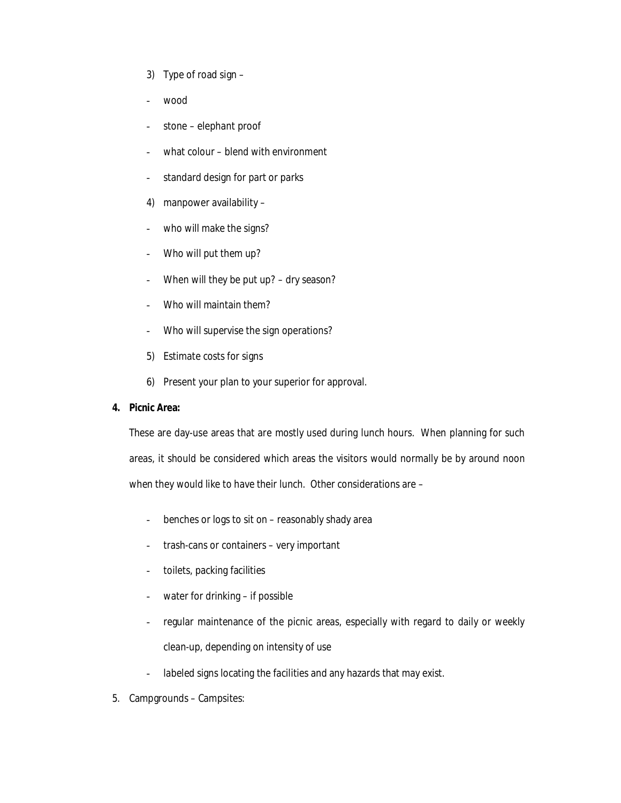- 3) Type of road sign –
- wood
- stone elephant proof
- what colour blend with environment
- standard design for part or parks
- 4) manpower availability –
- who will make the signs?
- Who will put them up?
- When will they be put up? dry season?
- Who will maintain them?
- Who will supervise the sign operations?
- 5) Estimate costs for signs
- 6) Present your plan to your superior for approval.

#### **4. Picnic Area:**

These are day-use areas that are mostly used during lunch hours. When planning for such areas, it should be considered which areas the visitors would normally be by around noon when they would like to have their lunch. Other considerations are –

- benches or logs to sit on reasonably shady area
- trash-cans or containers very important
- toilets, packing facilities
- water for drinking  $-$  if possible
- regular maintenance of the picnic areas, especially with regard to daily or weekly clean-up, depending on intensity of use
- labeled signs locating the facilities and any hazards that may exist.
- 5. Campgrounds Campsites: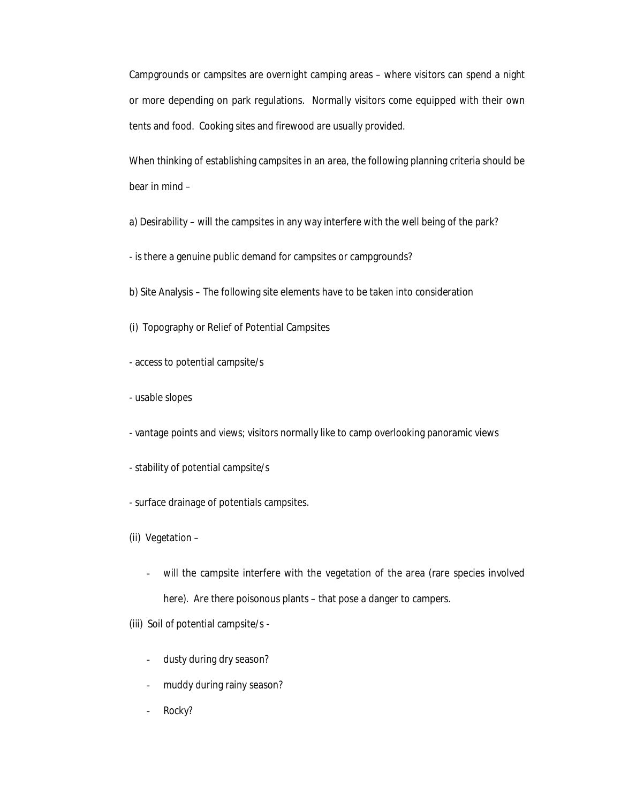Campgrounds or campsites are overnight camping areas – where visitors can spend a night or more depending on park regulations. Normally visitors come equipped with their own tents and food. Cooking sites and firewood are usually provided.

When thinking of establishing campsites in an area, the following planning criteria should be bear in mind –

a) Desirability – will the campsites in any way interfere with the well being of the park?

- is there a genuine public demand for campsites or campgrounds?

b) Site Analysis – The following site elements have to be taken into consideration

- (i) Topography or Relief of Potential Campsites
- access to potential campsite/s
- usable slopes
- vantage points and views; visitors normally like to camp overlooking panoramic views
- stability of potential campsite/s
- surface drainage of potentials campsites.
- (ii) Vegetation
	- will the campsite interfere with the vegetation of the area (rare species involved here). Are there poisonous plants – that pose a danger to campers.

(iii) Soil of potential campsite/s -

- dusty during dry season?
- muddy during rainy season?
- Rocky?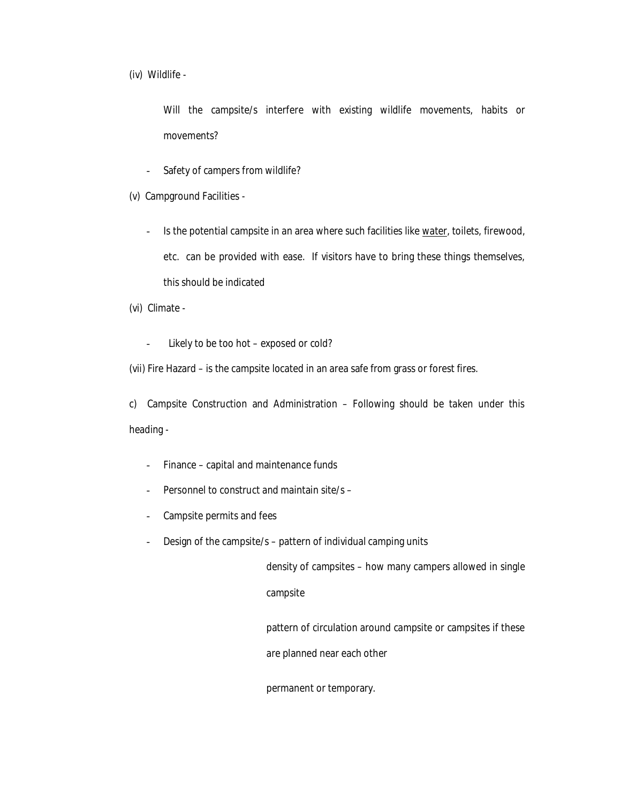(iv) Wildlife -

Will the campsite/s interfere with existing wildlife movements, habits or movements?

- Safety of campers from wildlife?

(v) Campground Facilities -

- Is the potential campsite in an area where such facilities like water, toilets, firewood, etc. can be provided with ease. If visitors have to bring these things themselves, this should be indicated

(vi) Climate -

- Likely to be too hot – exposed or cold?

(vii) Fire Hazard – is the campsite located in an area safe from grass or forest fires.

c) Campsite Construction and Administration – Following should be taken under this heading -

- Finance capital and maintenance funds
- Personnel to construct and maintain site/s -
- Campsite permits and fees
- Design of the campsite/s pattern of individual camping units

density of campsites – how many campers allowed in single campsite

pattern of circulation around campsite or campsites if these

are planned near each other

permanent or temporary.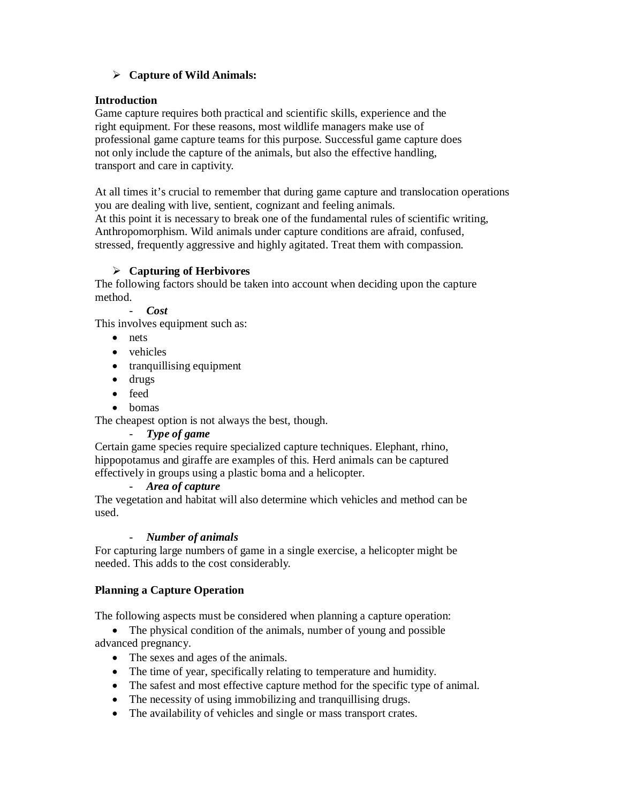# **Capture of Wild Animals:**

# **Introduction**

Game capture requires both practical and scientific skills, experience and the right equipment. For these reasons, most wildlife managers make use of professional game capture teams for this purpose. Successful game capture does not only include the capture of the animals, but also the effective handling, transport and care in captivity.

At all times it's crucial to remember that during game capture and translocation operations you are dealing with live, sentient, cognizant and feeling animals.

At this point it is necessary to break one of the fundamental rules of scientific writing, Anthropomorphism. Wild animals under capture conditions are afraid, confused, stressed, frequently aggressive and highly agitated. Treat them with compassion.

# **Capturing of Herbivores**

The following factors should be taken into account when deciding upon the capture method.

## - *Cost*

This involves equipment such as:

- nets
- vehicles
- tranquillising equipment
- drugs
- feed
- homas

The cheapest option is not always the best, though.

## - *Type of game*

Certain game species require specialized capture techniques. Elephant, rhino, hippopotamus and giraffe are examples of this. Herd animals can be captured effectively in groups using a plastic boma and a helicopter.

## - *Area of capture*

The vegetation and habitat will also determine which vehicles and method can be used.

# - *Number of animals*

For capturing large numbers of game in a single exercise, a helicopter might be needed. This adds to the cost considerably.

# **Planning a Capture Operation**

The following aspects must be considered when planning a capture operation:

• The physical condition of the animals, number of young and possible advanced pregnancy.

- The sexes and ages of the animals.
- The time of year, specifically relating to temperature and humidity.
- The safest and most effective capture method for the specific type of animal.
- The necessity of using immobilizing and tranquillising drugs.
- The availability of vehicles and single or mass transport crates.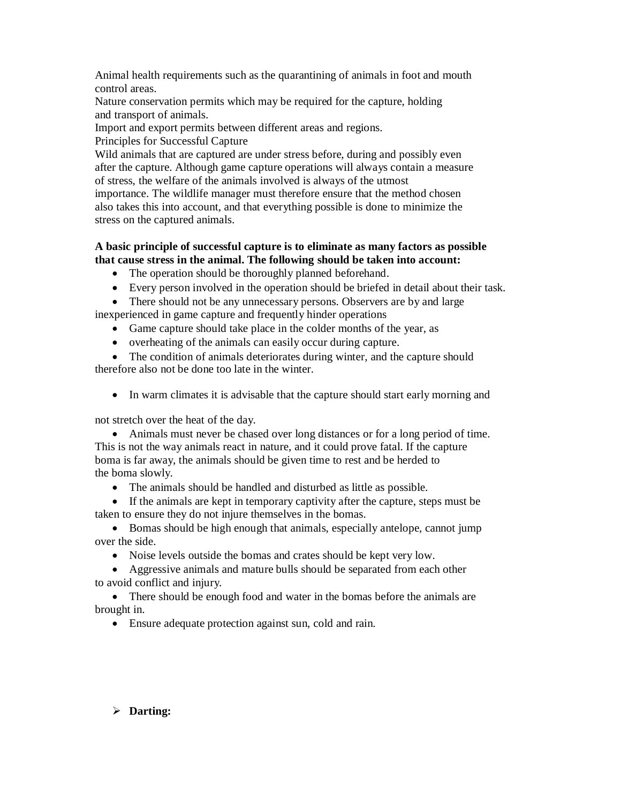Animal health requirements such as the quarantining of animals in foot and mouth control areas.

Nature conservation permits which may be required for the capture, holding and transport of animals.

Import and export permits between different areas and regions. Principles for Successful Capture

Wild animals that are captured are under stress before, during and possibly even after the capture. Although game capture operations will always contain a measure of stress, the welfare of the animals involved is always of the utmost importance. The wildlife manager must therefore ensure that the method chosen also takes this into account, and that everything possible is done to minimize the stress on the captured animals.

# **A basic principle of successful capture is to eliminate as many factors as possible that cause stress in the animal. The following should be taken into account:**

- The operation should be thoroughly planned beforehand.
- Every person involved in the operation should be briefed in detail about their task.

• There should not be any unnecessary persons. Observers are by and large inexperienced in game capture and frequently hinder operations

- Game capture should take place in the colder months of the year, as
- overheating of the animals can easily occur during capture.

• The condition of animals deteriorates during winter, and the capture should therefore also not be done too late in the winter.

• In warm climates it is advisable that the capture should start early morning and

not stretch over the heat of the day.

 Animals must never be chased over long distances or for a long period of time. This is not the way animals react in nature, and it could prove fatal. If the capture boma is far away, the animals should be given time to rest and be herded to the boma slowly.

The animals should be handled and disturbed as little as possible.

 If the animals are kept in temporary captivity after the capture, steps must be taken to ensure they do not injure themselves in the bomas.

 Bomas should be high enough that animals, especially antelope, cannot jump over the side.

• Noise levels outside the bomas and crates should be kept very low.

 Aggressive animals and mature bulls should be separated from each other to avoid conflict and injury.

• There should be enough food and water in the bomas before the animals are brought in.

Ensure adequate protection against sun, cold and rain.

# **Darting:**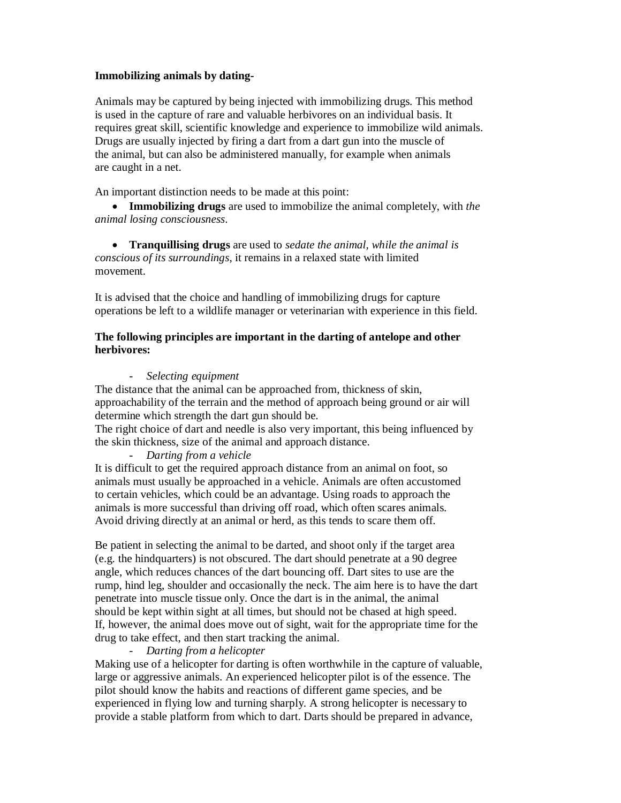## **Immobilizing animals by dating-**

Animals may be captured by being injected with immobilizing drugs. This method is used in the capture of rare and valuable herbivores on an individual basis. It requires great skill, scientific knowledge and experience to immobilize wild animals. Drugs are usually injected by firing a dart from a dart gun into the muscle of the animal, but can also be administered manually, for example when animals are caught in a net.

An important distinction needs to be made at this point:

 **Immobilizing drugs** are used to immobilize the animal completely, with *the animal losing consciousness*.

 **Tranquillising drugs** are used to *sedate the animal, while the animal is conscious of its surroundings*, it remains in a relaxed state with limited movement.

It is advised that the choice and handling of immobilizing drugs for capture operations be left to a wildlife manager or veterinarian with experience in this field.

## **The following principles are important in the darting of antelope and other herbivores:**

## - *Selecting equipment*

The distance that the animal can be approached from, thickness of skin, approachability of the terrain and the method of approach being ground or air will determine which strength the dart gun should be.

The right choice of dart and needle is also very important, this being influenced by the skin thickness, size of the animal and approach distance.

## - *Darting from a vehicle*

It is difficult to get the required approach distance from an animal on foot, so animals must usually be approached in a vehicle. Animals are often accustomed to certain vehicles, which could be an advantage. Using roads to approach the animals is more successful than driving off road, which often scares animals. Avoid driving directly at an animal or herd, as this tends to scare them off.

Be patient in selecting the animal to be darted, and shoot only if the target area (e.g. the hindquarters) is not obscured. The dart should penetrate at a 90 degree angle, which reduces chances of the dart bouncing off. Dart sites to use are the rump, hind leg, shoulder and occasionally the neck. The aim here is to have the dart penetrate into muscle tissue only. Once the dart is in the animal, the animal should be kept within sight at all times, but should not be chased at high speed. If, however, the animal does move out of sight, wait for the appropriate time for the drug to take effect, and then start tracking the animal.

## - *Darting from a helicopter*

Making use of a helicopter for darting is often worthwhile in the capture of valuable, large or aggressive animals. An experienced helicopter pilot is of the essence. The pilot should know the habits and reactions of different game species, and be experienced in flying low and turning sharply. A strong helicopter is necessary to provide a stable platform from which to dart. Darts should be prepared in advance,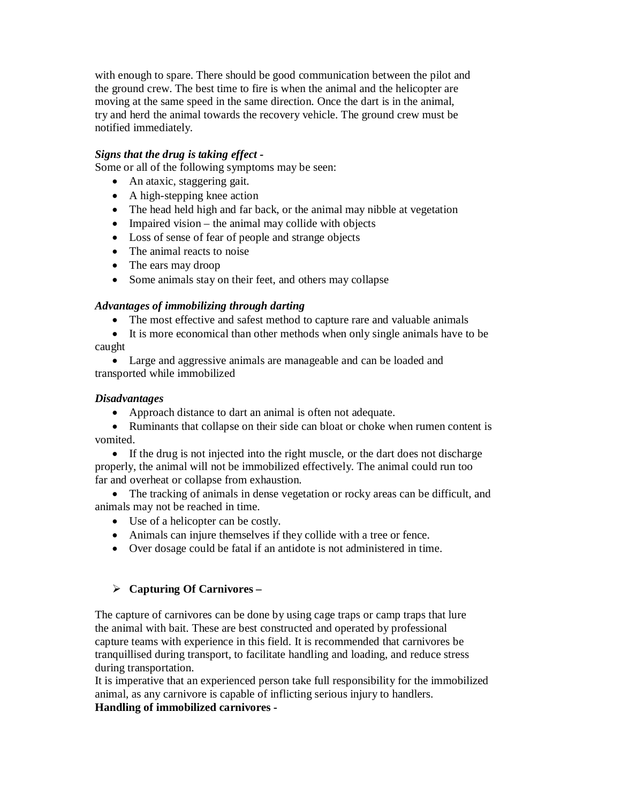with enough to spare. There should be good communication between the pilot and the ground crew. The best time to fire is when the animal and the helicopter are moving at the same speed in the same direction. Once the dart is in the animal, try and herd the animal towards the recovery vehicle. The ground crew must be notified immediately.

## *Signs that the drug is taking effect -*

Some or all of the following symptoms may be seen:

- An ataxic, staggering gait.
- A high-stepping knee action
- The head held high and far back, or the animal may nibble at vegetation
- Impaired vision the animal may collide with objects
- Loss of sense of fear of people and strange objects
- The animal reacts to noise
- The ears may droop
- Some animals stay on their feet, and others may collapse

## *Advantages of immobilizing through darting*

- The most effective and safest method to capture rare and valuable animals
- It is more economical than other methods when only single animals have to be caught
- Large and aggressive animals are manageable and can be loaded and transported while immobilized

## *Disadvantages*

- Approach distance to dart an animal is often not adequate.
- Ruminants that collapse on their side can bloat or choke when rumen content is vomited.
- If the drug is not injected into the right muscle, or the dart does not discharge properly, the animal will not be immobilized effectively. The animal could run too far and overheat or collapse from exhaustion.

 The tracking of animals in dense vegetation or rocky areas can be difficult, and animals may not be reached in time.

- Use of a helicopter can be costly.
- Animals can injure themselves if they collide with a tree or fence.
- Over dosage could be fatal if an antidote is not administered in time.

# **Capturing Of Carnivores –**

The capture of carnivores can be done by using cage traps or camp traps that lure the animal with bait. These are best constructed and operated by professional capture teams with experience in this field. It is recommended that carnivores be tranquillised during transport, to facilitate handling and loading, and reduce stress during transportation.

It is imperative that an experienced person take full responsibility for the immobilized animal, as any carnivore is capable of inflicting serious injury to handlers.

# **Handling of immobilized carnivores -**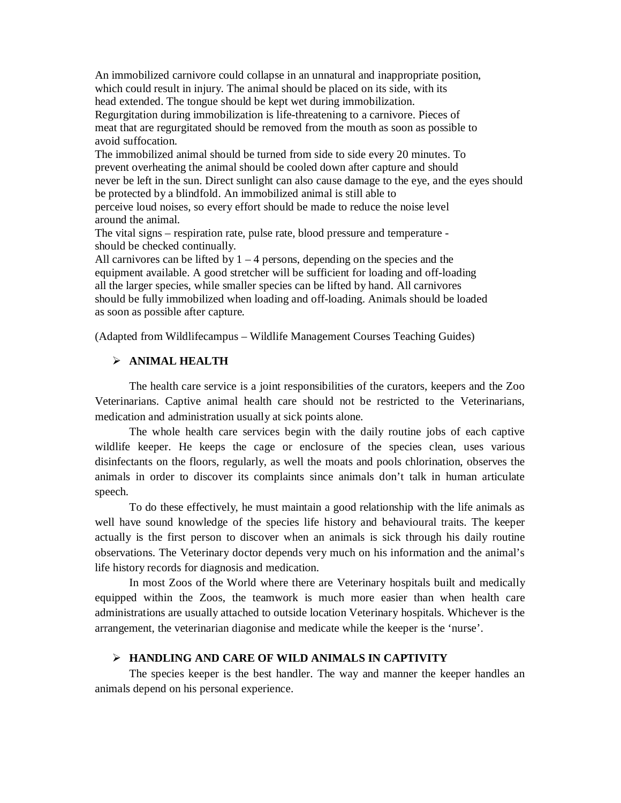An immobilized carnivore could collapse in an unnatural and inappropriate position, which could result in injury. The animal should be placed on its side, with its head extended. The tongue should be kept wet during immobilization. Regurgitation during immobilization is life-threatening to a carnivore. Pieces of meat that are regurgitated should be removed from the mouth as soon as possible to avoid suffocation.

The immobilized animal should be turned from side to side every 20 minutes. To prevent overheating the animal should be cooled down after capture and should never be left in the sun. Direct sunlight can also cause damage to the eye, and the eyes should be protected by a blindfold. An immobilized animal is still able to perceive loud noises, so every effort should be made to reduce the noise level around the animal.

The vital signs – respiration rate, pulse rate, blood pressure and temperature should be checked continually.

All carnivores can be lifted by  $1 - 4$  persons, depending on the species and the equipment available. A good stretcher will be sufficient for loading and off-loading all the larger species, while smaller species can be lifted by hand. All carnivores should be fully immobilized when loading and off-loading. Animals should be loaded as soon as possible after capture.

(Adapted from Wildlifecampus – Wildlife Management Courses Teaching Guides)

#### **ANIMAL HEALTH**

The health care service is a joint responsibilities of the curators, keepers and the Zoo Veterinarians. Captive animal health care should not be restricted to the Veterinarians, medication and administration usually at sick points alone.

The whole health care services begin with the daily routine jobs of each captive wildlife keeper. He keeps the cage or enclosure of the species clean, uses various disinfectants on the floors, regularly, as well the moats and pools chlorination, observes the animals in order to discover its complaints since animals don't talk in human articulate speech.

To do these effectively, he must maintain a good relationship with the life animals as well have sound knowledge of the species life history and behavioural traits. The keeper actually is the first person to discover when an animals is sick through his daily routine observations. The Veterinary doctor depends very much on his information and the animal's life history records for diagnosis and medication.

In most Zoos of the World where there are Veterinary hospitals built and medically equipped within the Zoos, the teamwork is much more easier than when health care administrations are usually attached to outside location Veterinary hospitals. Whichever is the arrangement, the veterinarian diagonise and medicate while the keeper is the 'nurse'.

#### **HANDLING AND CARE OF WILD ANIMALS IN CAPTIVITY**

The species keeper is the best handler. The way and manner the keeper handles an animals depend on his personal experience.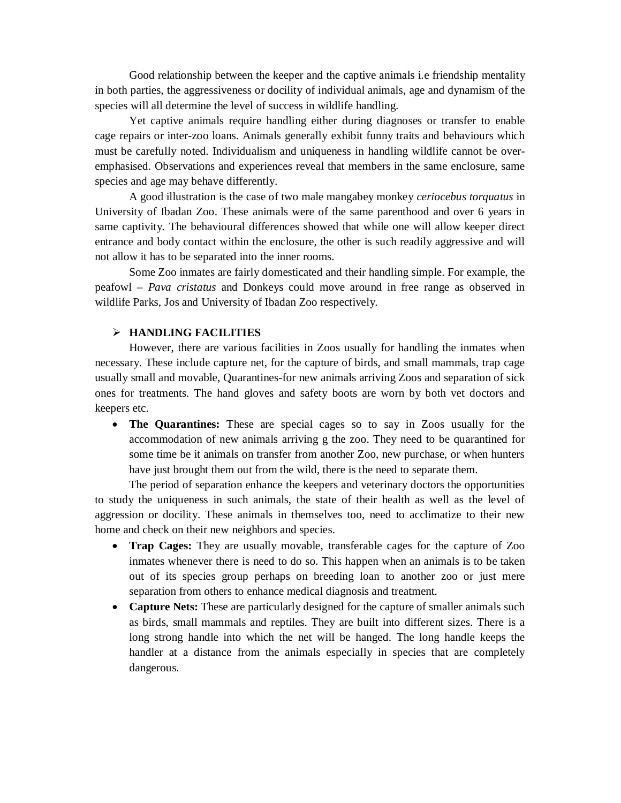Good relationship between the keeper and the captive animals i.e friendship mentality in both parties, the aggressiveness or docility of individual animals, age and dynamism of the species will all determine the level of success in wildlife handling.

Yet captive animals require handling either during diagnoses or transfer to enable cage repairs or inter-zoo loans. Animals generally exhibit funny traits and behaviours which must be carefully noted. Individualism and uniqueness in handling wildlife cannot be overemphasised. Observations and experiences reveal that members in the same enclosure, same species and age may behave differently.

A good illustration is the case of two male mangabey monkey *ceriocebus torquatus* in University of Ibadan Zoo. These animals were of the same parenthood and over 6 years in same captivity. The behavioural differences showed that while one will allow keeper direct entrance and body contact within the enclosure, the other is such readily aggressive and will not allow it has to be separated into the inner rooms.

Some Zoo inmates are fairly domesticated and their handling simple. For example, the peafowl – *Pava cristatus* and Donkeys could move around in free range as observed in wildlife Parks, Jos and University of Ibadan Zoo respectively.

#### **HANDLING FACILITIES**

However, there are various facilities in Zoos usually for handling the inmates when necessary. These include capture net, for the capture of birds, and small mammals, trap cage usually small and movable, Quarantines-for new animals arriving Zoos and separation of sick ones for treatments. The hand gloves and safety boots are worn by both vet doctors and keepers etc.

 **The Quarantines:** These are special cages so to say in Zoos usually for the accommodation of new animals arriving g the zoo. They need to be quarantined for some time be it animals on transfer from another Zoo, new purchase, or when hunters have just brought them out from the wild, there is the need to separate them.

The period of separation enhance the keepers and veterinary doctors the opportunities to study the uniqueness in such animals, the state of their health as well as the level of aggression or docility. These animals in themselves too, need to acclimatize to their new home and check on their new neighbors and species.

- **Trap Cages:** They are usually movable, transferable cages for the capture of Zoo inmates whenever there is need to do so. This happen when an animals is to be taken out of its species group perhaps on breeding loan to another zoo or just mere separation from others to enhance medical diagnosis and treatment.
- **Capture Nets:** These are particularly designed for the capture of smaller animals such as birds, small mammals and reptiles. They are built into different sizes. There is a long strong handle into which the net will be hanged. The long handle keeps the handler at a distance from the animals especially in species that are completely dangerous.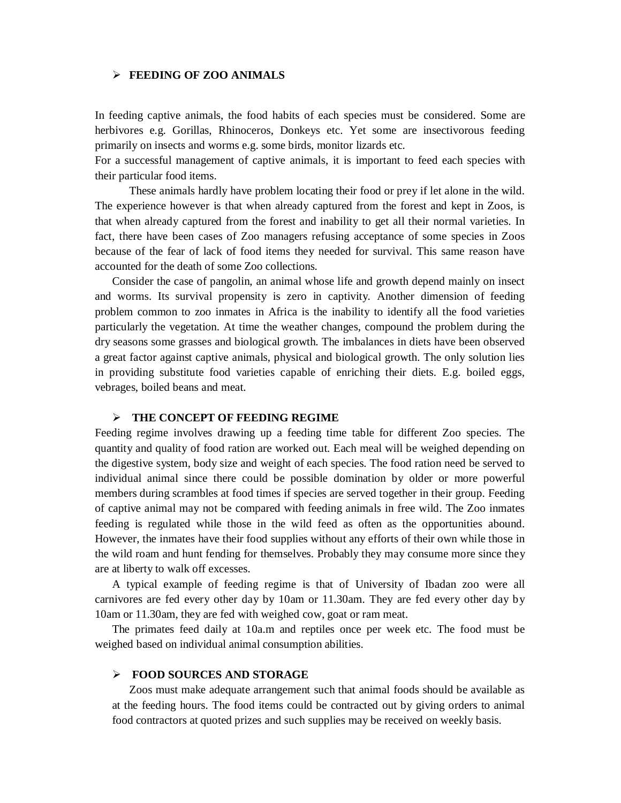#### **FEEDING OF ZOO ANIMALS**

In feeding captive animals, the food habits of each species must be considered. Some are herbivores e.g. Gorillas, Rhinoceros, Donkeys etc. Yet some are insectivorous feeding primarily on insects and worms e.g. some birds, monitor lizards etc.

For a successful management of captive animals, it is important to feed each species with their particular food items.

These animals hardly have problem locating their food or prey if let alone in the wild. The experience however is that when already captured from the forest and kept in Zoos, is that when already captured from the forest and inability to get all their normal varieties. In fact, there have been cases of Zoo managers refusing acceptance of some species in Zoos because of the fear of lack of food items they needed for survival. This same reason have accounted for the death of some Zoo collections.

Consider the case of pangolin, an animal whose life and growth depend mainly on insect and worms. Its survival propensity is zero in captivity. Another dimension of feeding problem common to zoo inmates in Africa is the inability to identify all the food varieties particularly the vegetation. At time the weather changes, compound the problem during the dry seasons some grasses and biological growth. The imbalances in diets have been observed a great factor against captive animals, physical and biological growth. The only solution lies in providing substitute food varieties capable of enriching their diets. E.g. boiled eggs, vebrages, boiled beans and meat.

#### **THE CONCEPT OF FEEDING REGIME**

Feeding regime involves drawing up a feeding time table for different Zoo species. The quantity and quality of food ration are worked out. Each meal will be weighed depending on the digestive system, body size and weight of each species. The food ration need be served to individual animal since there could be possible domination by older or more powerful members during scrambles at food times if species are served together in their group. Feeding of captive animal may not be compared with feeding animals in free wild. The Zoo inmates feeding is regulated while those in the wild feed as often as the opportunities abound. However, the inmates have their food supplies without any efforts of their own while those in the wild roam and hunt fending for themselves. Probably they may consume more since they are at liberty to walk off excesses.

A typical example of feeding regime is that of University of Ibadan zoo were all carnivores are fed every other day by 10am or 11.30am. They are fed every other day by 10am or 11.30am, they are fed with weighed cow, goat or ram meat.

The primates feed daily at 10a.m and reptiles once per week etc. The food must be weighed based on individual animal consumption abilities.

#### **FOOD SOURCES AND STORAGE**

Zoos must make adequate arrangement such that animal foods should be available as at the feeding hours. The food items could be contracted out by giving orders to animal food contractors at quoted prizes and such supplies may be received on weekly basis.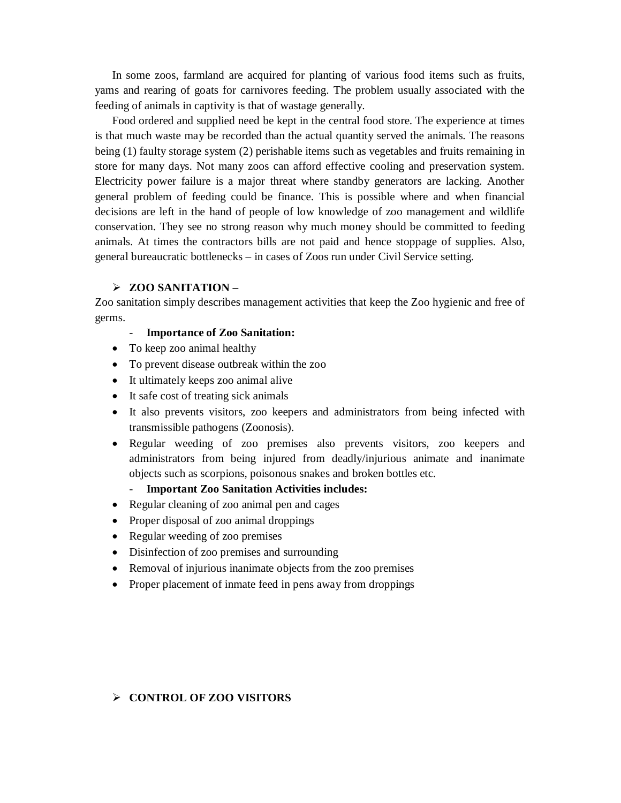In some zoos, farmland are acquired for planting of various food items such as fruits, yams and rearing of goats for carnivores feeding. The problem usually associated with the feeding of animals in captivity is that of wastage generally.

Food ordered and supplied need be kept in the central food store. The experience at times is that much waste may be recorded than the actual quantity served the animals. The reasons being (1) faulty storage system (2) perishable items such as vegetables and fruits remaining in store for many days. Not many zoos can afford effective cooling and preservation system. Electricity power failure is a major threat where standby generators are lacking. Another general problem of feeding could be finance. This is possible where and when financial decisions are left in the hand of people of low knowledge of zoo management and wildlife conservation. They see no strong reason why much money should be committed to feeding animals. At times the contractors bills are not paid and hence stoppage of supplies. Also, general bureaucratic bottlenecks – in cases of Zoos run under Civil Service setting.

#### **ZOO SANITATION –**

Zoo sanitation simply describes management activities that keep the Zoo hygienic and free of germs.

#### - **Importance of Zoo Sanitation:**

- To keep zoo animal healthy
- To prevent disease outbreak within the zoo
- It ultimately keeps zoo animal alive
- It safe cost of treating sick animals
- It also prevents visitors, zoo keepers and administrators from being infected with transmissible pathogens (Zoonosis).
- Regular weeding of zoo premises also prevents visitors, zoo keepers and administrators from being injured from deadly/injurious animate and inanimate objects such as scorpions, poisonous snakes and broken bottles etc.
	- **Important Zoo Sanitation Activities includes:**
- Regular cleaning of zoo animal pen and cages
- Proper disposal of zoo animal droppings
- Regular weeding of zoo premises
- Disinfection of zoo premises and surrounding
- Removal of injurious inanimate objects from the zoo premises
- Proper placement of inmate feed in pens away from droppings

## **CONTROL OF ZOO VISITORS**